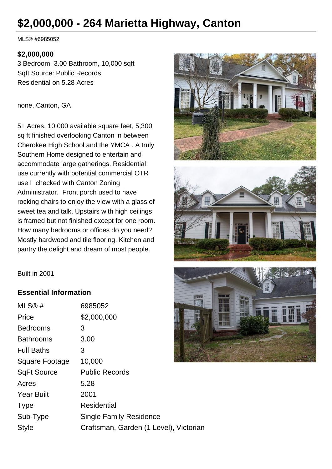# **\$2,000,000 - 264 Marietta Highway, Canton**

MLS® #6985052

#### **\$2,000,000**

3 Bedroom, 3.00 Bathroom, 10,000 sqft Sqft Source: Public Records Residential on 5.28 Acres

#### none, Canton, GA

5+ Acres, 10,000 available square feet, 5,300 sq ft finished overlooking Canton in between Cherokee High School and the YMCA . A truly Southern Home designed to entertain and accommodate large gatherings. Residential use currently with potential commercial OTR use I checked with Canton Zoning Administrator. Front porch used to have rocking chairs to enjoy the view with a glass of sweet tea and talk. Upstairs with high ceilings is framed but not finished except for one room. How many bedrooms or offices do you need? Mostly hardwood and tile flooring. Kitchen and pantry the delight and dream of most people.







### **Essential Information**

| MLS@#              | 6985052                                |
|--------------------|----------------------------------------|
| Price              | \$2,000,000                            |
| <b>Bedrooms</b>    | 3                                      |
| <b>Bathrooms</b>   | 3.00                                   |
| <b>Full Baths</b>  | З                                      |
| Square Footage     | 10,000                                 |
| <b>SqFt Source</b> | <b>Public Records</b>                  |
| Acres              | 5.28                                   |
| <b>Year Built</b>  | 2001                                   |
| <b>Type</b>        | Residential                            |
| Sub-Type           | <b>Single Family Residence</b>         |
| <b>Style</b>       | Craftsman, Garden (1 Level), Victorian |
|                    |                                        |

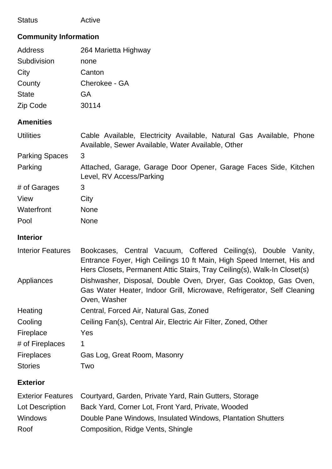| <b>Status</b> | Active |
|---------------|--------|
|---------------|--------|

## **Community Information**

| <b>Address</b>        | 264 Marietta Highway                                                                                                       |  |
|-----------------------|----------------------------------------------------------------------------------------------------------------------------|--|
| Subdivision           | none                                                                                                                       |  |
| City                  | Canton                                                                                                                     |  |
| County                | Cherokee - GA                                                                                                              |  |
| <b>State</b>          | GA                                                                                                                         |  |
| Zip Code              | 30114                                                                                                                      |  |
| <b>Amenities</b>      |                                                                                                                            |  |
| <b>Utilities</b>      | Cable Available, Electricity Available, Natural Gas Available, Phone<br>Available, Sewer Available, Water Available, Other |  |
| <b>Parking Spaces</b> | 3                                                                                                                          |  |
| Parking               | Attached, Garage, Garage Door Opener, Garage Faces Side, Kitchen<br>Level, RV Access/Parking                               |  |
| # of Garages          | 3                                                                                                                          |  |
| View                  | City                                                                                                                       |  |
| Waterfront            | <b>None</b>                                                                                                                |  |
| Pool                  | <b>None</b>                                                                                                                |  |
| <b>Interior</b>       |                                                                                                                            |  |

| <b>Interior Features</b> | Bookcases, Central Vacuum, Coffered Ceiling(s), Double Vanity,           |  |  |  |  |
|--------------------------|--------------------------------------------------------------------------|--|--|--|--|
|                          | Entrance Foyer, High Ceilings 10 ft Main, High Speed Internet, His and   |  |  |  |  |
|                          | Hers Closets, Permanent Attic Stairs, Tray Ceiling(s), Walk-In Closet(s) |  |  |  |  |
| Appliances               | Dishwasher, Disposal, Double Oven, Dryer, Gas Cooktop, Gas Oven,         |  |  |  |  |
|                          | Gas Water Heater, Indoor Grill, Microwave, Refrigerator, Self Cleaning   |  |  |  |  |
|                          | Oven, Washer                                                             |  |  |  |  |
| Heating                  | Central, Forced Air, Natural Gas, Zoned                                  |  |  |  |  |
| Cooling                  | Ceiling Fan(s), Central Air, Electric Air Filter, Zoned, Other           |  |  |  |  |
| Fireplace                | Yes                                                                      |  |  |  |  |
| # of Fireplaces          | 1                                                                        |  |  |  |  |
| <b>Fireplaces</b>        | Gas Log, Great Room, Masonry                                             |  |  |  |  |
| <b>Stories</b>           | Two                                                                      |  |  |  |  |

### **Exterior**

|                 | Exterior Features Courtyard, Garden, Private Yard, Rain Gutters, Storage |
|-----------------|--------------------------------------------------------------------------|
| Lot Description | Back Yard, Corner Lot, Front Yard, Private, Wooded                       |
| <b>Windows</b>  | Double Pane Windows, Insulated Windows, Plantation Shutters              |
| Roof            | Composition, Ridge Vents, Shingle                                        |
|                 |                                                                          |